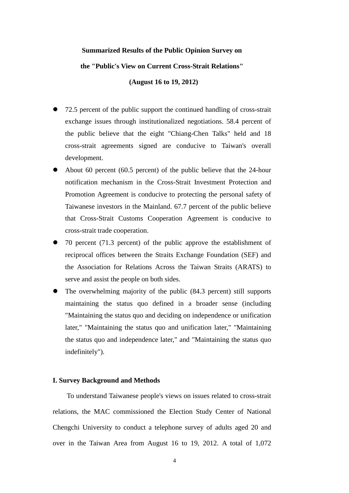# **Summarized Results of the Public Opinion Survey on the "Public's View on Current Cross-Strait Relations"**

 **(August 16 to 19, 2012)** 

- 72.5 percent of the public support the continued handling of cross-strait exchange issues through institutionalized negotiations. 58.4 percent of the public believe that the eight "Chiang-Chen Talks" held and 18 cross-strait agreements signed are conducive to Taiwan's overall development.
- About 60 percent (60.5 percent) of the public believe that the 24-hour notification mechanism in the Cross-Strait Investment Protection and Promotion Agreement is conducive to protecting the personal safety of Taiwanese investors in the Mainland. 67.7 percent of the public believe that Cross-Strait Customs Cooperation Agreement is conducive to cross-strait trade cooperation.
- 70 percent (71.3 percent) of the public approve the establishment of reciprocal offices between the Straits Exchange Foundation (SEF) and the Association for Relations Across the Taiwan Straits (ARATS) to serve and assist the people on both sides.
- The overwhelming majority of the public (84.3 percent) still supports maintaining the status quo defined in a broader sense (including "Maintaining the status quo and deciding on independence or unification later," "Maintaining the status quo and unification later," "Maintaining the status quo and independence later," and "Maintaining the status quo indefinitely").

#### **I. Survey Background and Methods**

 To understand Taiwanese people's views on issues related to cross-strait relations, the MAC commissioned the Election Study Center of National Chengchi University to conduct a telephone survey of adults aged 20 and over in the Taiwan Area from August 16 to 19, 2012. A total of 1,072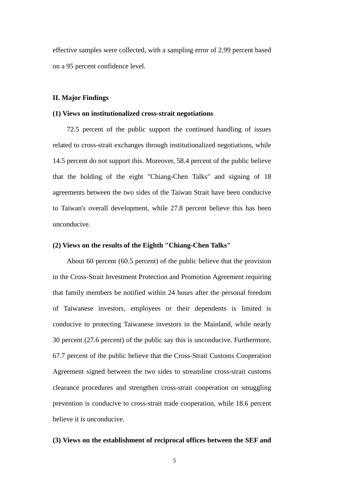effective samples were collected, with a sampling error of 2.99 percent based on a 95 percent confidence level.

#### **II. Major Findings**

#### **(1) Views on institutionalized cross-strait negotiations**

 72.5 percent of the public support the continued handling of issues related to cross-strait exchanges through institutionalized negotiations, while 14.5 percent do not support this. Moreover, 58.4 percent of the public believe that the holding of the eight "Chiang-Chen Talks" and signing of 18 agreements between the two sides of the Taiwan Strait have been conducive to Taiwan's overall development, while 27.8 percent believe this has been unconducive.

#### **(2) Views on the results of the Eighth "Chiang-Chen Talks"**

 About 60 percent (60.5 percent) of the public believe that the provision in the Cross-Strait Investment Protection and Promotion Agreement requiring that family members be notified within 24 hours after the personal freedom of Taiwanese investors, employees or their dependents is limited is conducive to protecting Taiwanese investors in the Mainland, while nearly 30 percent (27.6 percent) of the public say this is unconducive. Furthermore, 67.7 percent of the public believe that the Cross-Strait Customs Cooperation Agreement signed between the two sides to streamline cross-strait customs clearance procedures and strengthen cross-strait cooperation on smuggling prevention is conducive to cross-strait trade cooperation, while 18.6 percent believe it is unconducive.

#### **(3) Views on the establishment of reciprocal offices between the SEF and**